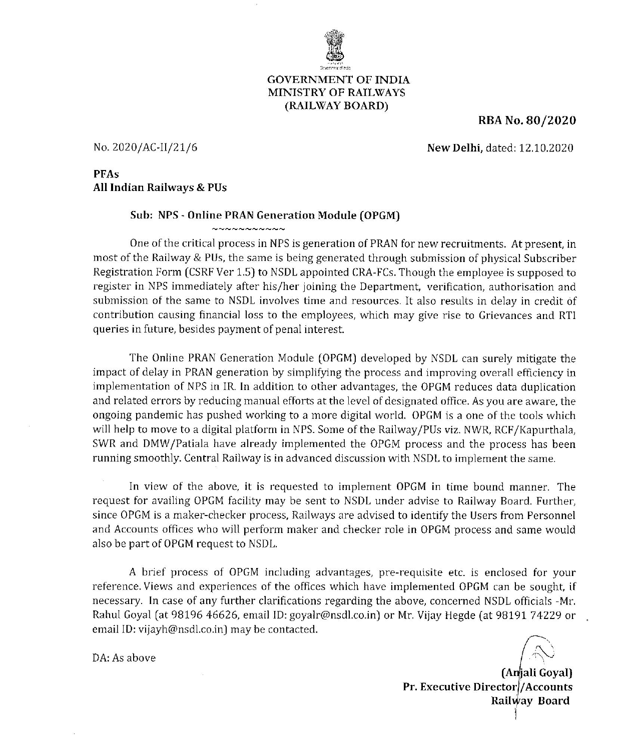

## **GOVERNMENT OF INDIA** MINISTRY OF RAILWAYS (RAILWAY BOARD)

RBA No. 80/2020

No. 2020/AC-II/21/6

New Delhi, dated: 12.10.2020

**PFAs** All Indian Railways & PUs

#### Sub: NPS - Online PRAN Generation Module (OPGM)

 $\sim$   $\sim$   $\sim$   $\sim$   $\sim$   $\sim$   $\sim$   $\sim$ 

One of the critical process in NPS is generation of PRAN for new recruitments. At present, in most of the Railway & PUs, the same is being generated through submission of physical Subscriber Registration Form (CSRF Ver 1.5) to NSDL appointed CRA-FCs. Though the employee is supposed to register in NPS immediately after his/her joining the Department, verification, authorisation and submission of the same to NSDL involves time and resources. It also results in delay in credit of contribution causing financial loss to the employees, which may give rise to Grievances and RTI queries in future, besides payment of penal interest.

The Online PRAN Generation Module (OPGM) developed by NSDL can surely mitigate the impact of delay in PRAN generation by simplifying the process and improving overall efficiency in implementation of NPS in IR. In addition to other advantages, the OPGM reduces data duplication and related errors by reducing manual efforts at the level of designated office. As you are aware, the ongoing pandemic has pushed working to a more digital world. OPGM is a one of the tools which will help to move to a digital platform in NPS. Some of the Railway/PUs viz. NWR. RCF/Kapurthala. SWR and DMW/Patiala have already implemented the OPGM process and the process has been running smoothly. Central Railway is in advanced discussion with NSDL to implement the same.

In view of the above, it is requested to implement OPGM in time bound manner. The request for availing OPGM facility may be sent to NSDL under advise to Railway Board. Further, since OPGM is a maker-checker process, Railways are advised to identify the Users from Personnel and Accounts offices who will perform maker and checker role in OPGM process and same would also be part of OPGM request to NSDL.

A brief process of OPGM including advantages, pre-requisite etc. is enclosed for your reference. Views and experiences of the offices which have implemented OPGM can be sought, if necessary. In case of any further clarifications regarding the above, concerned NSDL officials -Mr. Rahul Goyal (at 98196 46626, email ID: goyalr@nsdl.co.in) or Mr. Vijay Hegde (at 98191 74229 or email ID: vijayh@nsdl.co.in) may be contacted.

DA: As above

(Anjali Goyal) Pr. Executive Director / Accounts Railway Board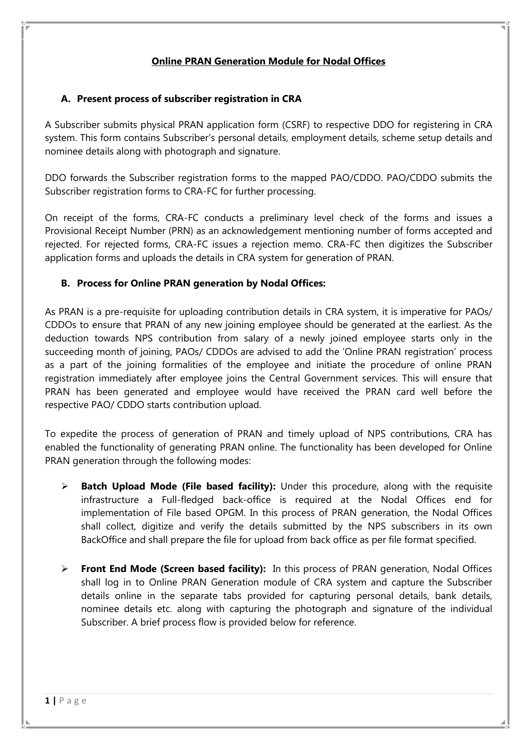# **Online PRAN Generation Module for Nodal Offices**

# **A. Present process of subscriber registration in CRA**

A Subscriber submits physical PRAN application form (CSRF) to respective DDO for registering in CRA system. This form contains Subscriber's personal details, employment details, scheme setup details and nominee details along with photograph and signature.

DDO forwards the Subscriber registration forms to the mapped PAO/CDDO. PAO/CDDO submits the Subscriber registration forms to CRA-FC for further processing.

On receipt of the forms, CRA-FC conducts a preliminary level check of the forms and issues a Provisional Receipt Number (PRN) as an acknowledgement mentioning number of forms accepted and rejected. For rejected forms, CRA-FC issues a rejection memo. CRA-FC then digitizes the Subscriber application forms and uploads the details in CRA system for generation of PRAN.

# **B. Process for Online PRAN generation by Nodal Offices:**

As PRAN is a pre-requisite for uploading contribution details in CRA system, it is imperative for PAOs/ CDDOs to ensure that PRAN of any new joining employee should be generated at the earliest. As the deduction towards NPS contribution from salary of a newly joined employee starts only in the succeeding month of joining, PAOs/ CDDOs are advised to add the 'Online PRAN registration' process as a part of the joining formalities of the employee and initiate the procedure of online PRAN registration immediately after employee joins the Central Government services. This will ensure that PRAN has been generated and employee would have received the PRAN card well before the respective PAO/ CDDO starts contribution upload.

To expedite the process of generation of PRAN and timely upload of NPS contributions, CRA has enabled the functionality of generating PRAN online. The functionality has been developed for Online PRAN generation through the following modes:

- **Batch Upload Mode (File based facility):** Under this procedure, along with the requisite infrastructure a Full-fledged back-office is required at the Nodal Offices end for implementation of File based OPGM. In this process of PRAN generation, the Nodal Offices shall collect, digitize and verify the details submitted by the NPS subscribers in its own BackOffice and shall prepare the file for upload from back office as per file format specified.
- **Front End Mode (Screen based facility):** In this process of PRAN generation, Nodal Offices shall log in to Online PRAN Generation module of CRA system and capture the Subscriber details online in the separate tabs provided for capturing personal details, bank details, nominee details etc. along with capturing the photograph and signature of the individual Subscriber. A brief process flow is provided below for reference.